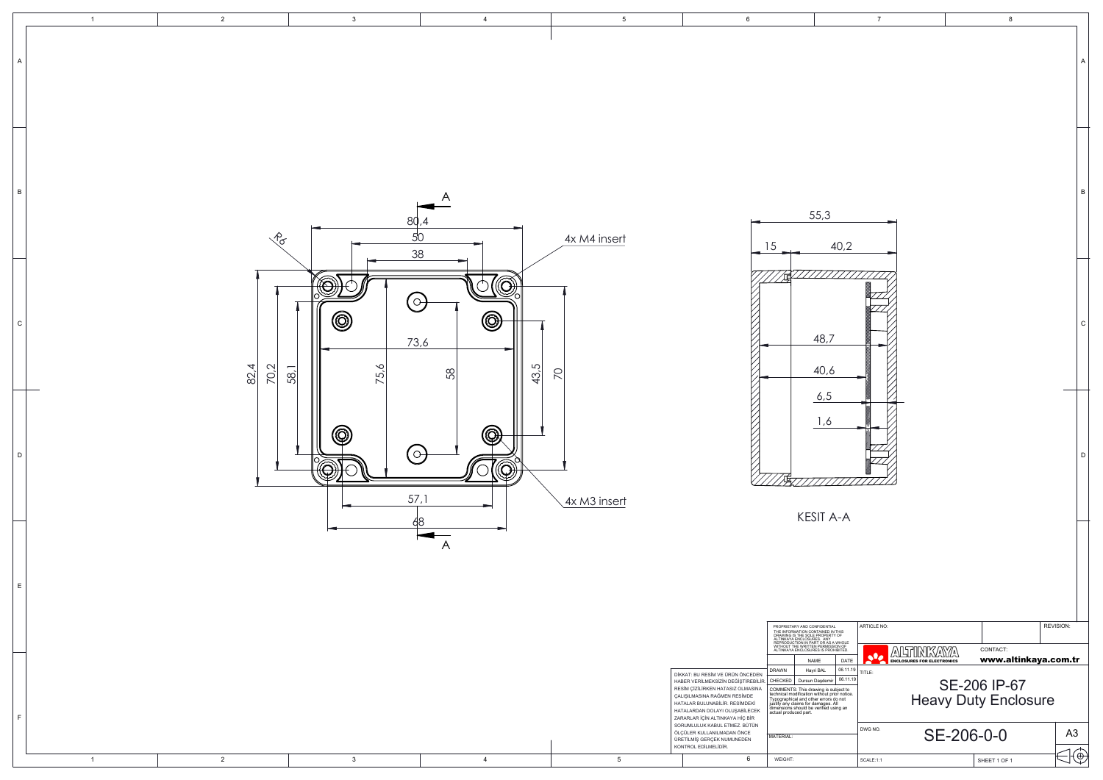|                                                                                              | 7                                             |   | 8                                           |                |              |
|----------------------------------------------------------------------------------------------|-----------------------------------------------|---|---------------------------------------------|----------------|--------------|
|                                                                                              |                                               |   |                                             |                | А            |
| 40,2                                                                                         |                                               |   |                                             |                | $\sf B$      |
| 6                                                                                            |                                               |   |                                             |                | $\mathsf{C}$ |
|                                                                                              |                                               |   |                                             |                | D            |
| A-A<br><b>IAL</b>                                                                            | ARTICLE NO:                                   |   |                                             | REVISION:      |              |
| IN THIS<br>RTY OF<br>s A WHOLE<br>SSION OF<br>{OHIBITED.<br>DATE                             | A<br>sle<br><b>ENCLOSURES FOR ELECTRONICS</b> | A | CONTACT:<br>www.altinkaya.com.tr            |                |              |
| 06.11.19<br>06.11.19<br>hir<br>subject to<br>prior notice.<br>s do not<br>;. All<br>using an | TITLE:                                        |   | SE-206 IP-67<br><b>Heavy Duty Enclosure</b> |                |              |
|                                                                                              | DWG NO.                                       |   | SE-206-0-0                                  | A <sub>3</sub> |              |
|                                                                                              | SCALE:1:1                                     |   | SHEET 1 OF 1                                |                | E            |

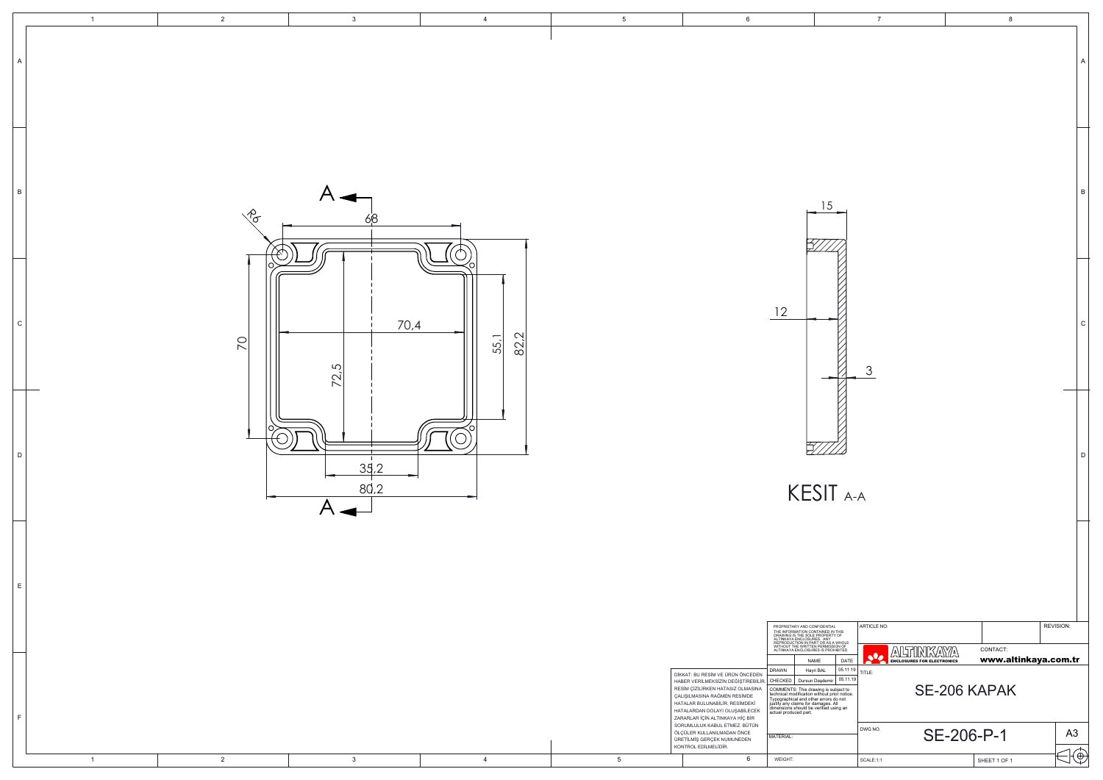|                                                                                            | $\overline{7}$                                                |              | 8                                |                | A            |
|--------------------------------------------------------------------------------------------|---------------------------------------------------------------|--------------|----------------------------------|----------------|--------------|
|                                                                                            |                                                               |              |                                  |                | $\sf B$      |
|                                                                                            | 3                                                             |              |                                  |                | $\mathsf{C}$ |
| $\overline{I}$ A-A                                                                         |                                                               |              |                                  |                | D            |
| IAL<br>IN THIS<br>!TY OF                                                                   | ARTICLE NO:                                                   |              |                                  | REVISION:      |              |
| : A WHOLE<br>;SION OF<br>OHIBITED.<br>DATE                                                 | <b>ALTINKAYA</b><br>يهاي<br><b>ENCLOSURES FOR ELECTRONICS</b> |              | CONTACT:<br>www.altinkaya.com.tr |                |              |
| 05.11.19<br>05.11.19<br>ir<br>subject to<br>prior notice.<br>s do not<br>. All<br>using an | TITLE:                                                        | SE-206 KAPAK |                                  |                |              |
|                                                                                            | DWG NO.                                                       | SE-206-P-1   |                                  | A <sub>3</sub> |              |
|                                                                                            | SCALE:1:1                                                     |              | SHEET 1 OF 1                     | ⊕              |              |

|    | $\mathbf{1}$   | $\overline{2}$  | $\mathbf{3}$                  | $\overline{4}$ | 5 <sub>5</sub>  | $6\phantom{.0}$                                                                                                                                                                                                                                   |                                                                                                                                                                                                                                                                               | $\overline{7}$                                                                                |                      |
|----|----------------|-----------------|-------------------------------|----------------|-----------------|---------------------------------------------------------------------------------------------------------------------------------------------------------------------------------------------------------------------------------------------------|-------------------------------------------------------------------------------------------------------------------------------------------------------------------------------------------------------------------------------------------------------------------------------|-----------------------------------------------------------------------------------------------|----------------------|
|    |                |                 |                               |                |                 |                                                                                                                                                                                                                                                   |                                                                                                                                                                                                                                                                               |                                                                                               |                      |
| B  |                |                 | $\mathcal{A}$                 |                |                 |                                                                                                                                                                                                                                                   | 15                                                                                                                                                                                                                                                                            |                                                                                               |                      |
|    |                | $\sqrt{\sigma}$ | 68                            |                |                 |                                                                                                                                                                                                                                                   |                                                                                                                                                                                                                                                                               |                                                                                               |                      |
| C  |                |                 | 70,4                          |                |                 |                                                                                                                                                                                                                                                   | 12                                                                                                                                                                                                                                                                            |                                                                                               |                      |
|    |                | $\overline{5}$  | 72.5                          | 82,2<br>55,1   |                 |                                                                                                                                                                                                                                                   |                                                                                                                                                                                                                                                                               | $\mathcal{S}$                                                                                 |                      |
| D  |                | ╭               |                               |                |                 |                                                                                                                                                                                                                                                   | $\frac{1}{2}$                                                                                                                                                                                                                                                                 |                                                                                               |                      |
|    |                |                 | 35,2<br>80,2<br>$\mathcal{A}$ |                |                 |                                                                                                                                                                                                                                                   | KESIT A-A                                                                                                                                                                                                                                                                     |                                                                                               |                      |
| E  |                |                 |                               |                |                 |                                                                                                                                                                                                                                                   |                                                                                                                                                                                                                                                                               |                                                                                               |                      |
|    |                |                 |                               |                |                 |                                                                                                                                                                                                                                                   | PROPRIETARY AND CONFIDENTIAL<br>FINDER AT AND CONTAINED IN THE SPACE AND CONTAINED IN THIS<br>DRAWING IS THE SOLE PROPERTY OF<br>REPRODUCTION IN PART OR AS A WHOLE<br>REPRODUCTION IN PART OR AS A WHOLE<br>WITHOUT THE WRITTEN PERMISSION OF<br>ALTINKAYA ENCLOSURES IS PRO | ARTICLE NO:<br><b>ALTINKAYA</b>                                                               | CONTACT:             |
|    |                |                 |                               |                |                 | DİKKAT: BU RESİM VE ÜRÜN ÖNCEDEN<br>HABER VERİLMEKSİZİN DEĞİŞTİREBİLİR. CHECKED Dursun Daşdemir 05.11.19<br>RESİM ÇİZİLİRKEN HATASIZ OLMASINA<br>ÇALIŞILMASINA RAĞMEN RESİMDE<br>HATALAR BULUNABİLİR. RESİMDEKİ<br>HATALARDAN DOLAYI OLUŞABİLECEK | NAME<br><b>DRAWN</b><br>Hayri BAL<br>COMMENTS: This drawing is subject to<br>technical modification without prior notice.<br>Typographical and other errors do not<br>justify any claims for damages. All<br>dimensions should be verified using an<br>actual produced part.  | <b>CONTRACTED BUNION AND AND ALL ENGLISHERS FOR ELECTRONICS</b><br>DATE<br>05.11.19<br>TITLE: | www.a<br>SE-206 KAPA |
| F. |                |                 |                               |                |                 | ZARARLAR İÇİN ALTINKAYA HİÇ BİR<br>SORUMLULUK KABUL ETMEZ. BÜTÜN<br>ÖLÇÜLER KULLANILMADAN ÖNCE<br>ÜRETİLMİŞ GERÇEK NUMUNEDEN<br>KONTROL EDİLMELİDİR.                                                                                              | MATERIAL:                                                                                                                                                                                                                                                                     | DWG NO.                                                                                       | SE-206-P-1           |
|    | $\overline{1}$ | $\overline{2}$  | $\mathbf{3}$                  | $\overline{4}$ | $5\phantom{.0}$ | 6                                                                                                                                                                                                                                                 | WEIGHT:                                                                                                                                                                                                                                                                       | SCALE:1:1                                                                                     | SHEET 1 OF           |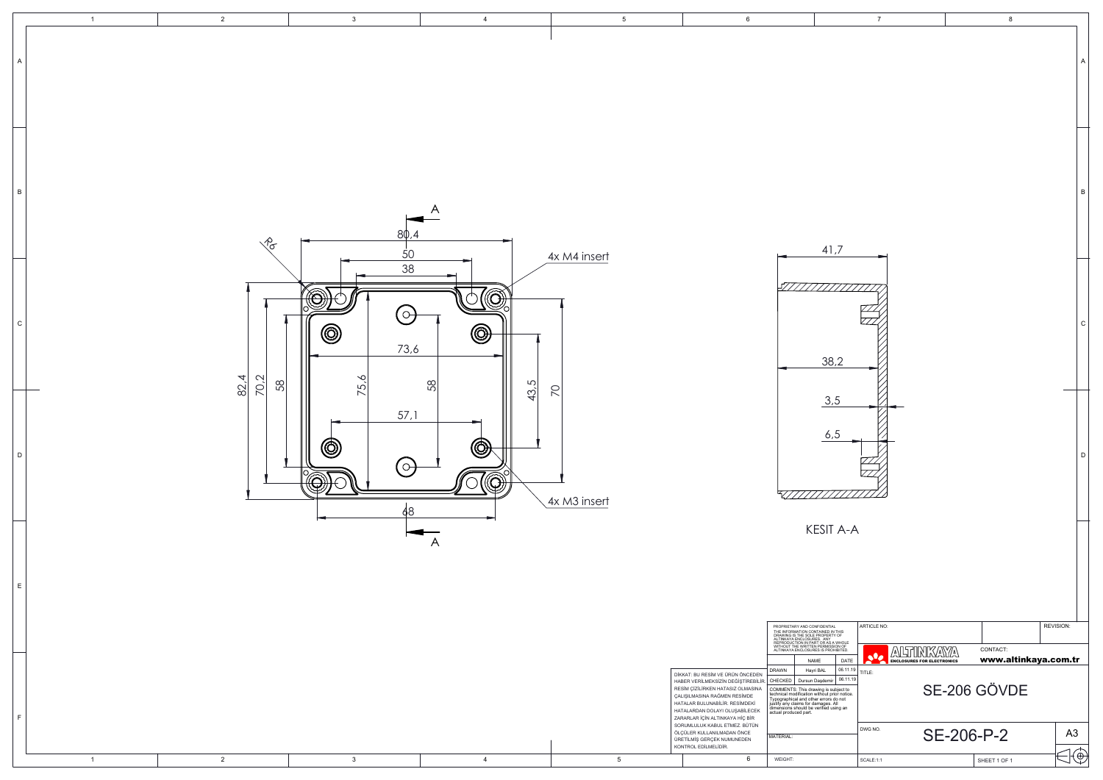|                                                                                            | $\overline{7}$                                                                |            | 8                                |                | А            |
|--------------------------------------------------------------------------------------------|-------------------------------------------------------------------------------|------------|----------------------------------|----------------|--------------|
|                                                                                            |                                                                               |            |                                  |                |              |
| $\overline{\phantom{a}}$                                                                   |                                                                               |            |                                  |                | B            |
|                                                                                            |                                                                               |            |                                  |                | $\mathsf{C}$ |
| .5<br>, 5                                                                                  |                                                                               |            |                                  |                | D            |
| $A-A$                                                                                      |                                                                               |            |                                  |                |              |
| IAL<br>IN THIS<br>!TY OF<br>: A WHOLE<br>;SION OF<br>OHIBITED.<br>DATE                     | ARTICLE NO:<br>╩<br>TUNKVAY<br>$\bullet$<br><b>ENCLOSURES FOR ELECTRONICS</b> | Δ١         | CONTACT:<br>www.altinkaya.com.tr | REVISION:      |              |
| 06.11.19<br>06.11.19<br>ir<br>subject to<br>prior notice.<br>s do not<br>. All<br>using an | TITLE:                                                                        |            | SE-206 GÖVDE                     |                |              |
|                                                                                            | DWG NO.                                                                       | SE-206-P-2 |                                  | A <sub>3</sub> |              |
|                                                                                            | SCALE:1:1                                                                     |            | SHEET 1 OF 1                     |                | $\Theta$     |

|                             | $\overline{1}$ | $\overline{2}$                       | 3                     | $\overline{4}$                                                            | 5 <sub>5</sub>       | $6\overline{6}$                                                                                                                                                                                                                                                                                                                                                                                                                                                                                                                                                                                                                                                                                                                                                                               | $7\overline{ }$                                                                   |                                         |
|-----------------------------|----------------|--------------------------------------|-----------------------|---------------------------------------------------------------------------|----------------------|-----------------------------------------------------------------------------------------------------------------------------------------------------------------------------------------------------------------------------------------------------------------------------------------------------------------------------------------------------------------------------------------------------------------------------------------------------------------------------------------------------------------------------------------------------------------------------------------------------------------------------------------------------------------------------------------------------------------------------------------------------------------------------------------------|-----------------------------------------------------------------------------------|-----------------------------------------|
| $\overline{A}$              |                |                                      |                       |                                                                           |                      |                                                                                                                                                                                                                                                                                                                                                                                                                                                                                                                                                                                                                                                                                                                                                                                               |                                                                                   |                                         |
| $\overline{B}$              |                | $\sqrt{\sigma}$                      |                       | $\forall$<br>80,4                                                         |                      |                                                                                                                                                                                                                                                                                                                                                                                                                                                                                                                                                                                                                                                                                                                                                                                               | 41,7                                                                              |                                         |
| $\mathsf{C}$                |                |                                      | 0<br>∼                | 50<br>38<br>$\widehat{\mathbb{R}}$<br>$(\circ)$<br>$^{\circledR}$<br>73,6 | 4x M4 insert         |                                                                                                                                                                                                                                                                                                                                                                                                                                                                                                                                                                                                                                                                                                                                                                                               | 5777777777777777<br>38,2                                                          |                                         |
|                             | 0              | $\frac{82.4}{70.2}$<br>$\mathcal{B}$ | $\overline{5}$<br>(O) | 58<br>43,5<br>57,1<br>©)<br>$(\circ)$<br>Ó<br>48                          | 70<br>$4x$ M3 insert |                                                                                                                                                                                                                                                                                                                                                                                                                                                                                                                                                                                                                                                                                                                                                                                               | 3,5<br>6,5                                                                        |                                         |
| $\mathsf{E}% _{\mathsf{H}}$ |                |                                      |                       | $\overline{A}$                                                            |                      |                                                                                                                                                                                                                                                                                                                                                                                                                                                                                                                                                                                                                                                                                                                                                                                               | <b>KESIT A-A</b><br>ARTICLE NO:                                                   |                                         |
| F                           |                |                                      |                       |                                                                           |                      | PROPRIETARY AND CONFIDENTIAL<br>THE INFORMATION CONTAINED IN THIS<br>DRAWING IS THE SOLE PROPERTY OF<br>ALTINKAYA ENCLOSURES. ANY<br>REPRODUCTION IN PART OR AS A WHOLE<br>WITHOUT THE WRITTEN PERMISSION OF<br>ALTINKAYA ENCLOSURES IS PROHIBIT<br><b>DRAWN</b><br>DİKKAT: BU RESİM VE ÜRÜN ÖNCEDEN<br>CHECKED Dursun Daşdemir<br>HABER VERİLMEKSİZİN DEĞİŞTİREBİLİR.<br>RESİM ÇİZİLİRKEN HATASIZ OLMASINA<br>COMMENTS: This drawing is subject to<br>technical modification without prior notice.<br>Typographical and other errors do not<br>justify any claims for damages. All<br>dimensions should by verified using an<br>actual produced part.<br>ÇALIŞILMASINA RAĞMEN RESİMDE<br>HATALAR BULUNABİLİR. RESİMDEKİ<br>HATALARDAN DOLAYI OLUŞABİLECEK<br>ZARARLAR İÇİN ALTINKAYA HİÇ BİR | ALLTENIXAYA<br>DATE<br>NAME<br>$\boxed{06.11.19}$ TITLE:<br>Hayri BAL<br>06.11.19 | CONTACT:<br>www.a<br><b>SE-206 GÖVI</b> |
|                             | $\overline{1}$ | $\overline{2}$                       | $\mathbf{3}$          | $\overline{4}$                                                            | $5\phantom{.0}$      | SORUMLULUK KABUL ETMEZ. BÜTÜN<br>ÖLÇÜLER KULLANILMADAN ÖNCE<br>MATERIAL:<br>ÜRETİLMİŞ GERÇEK NUMUNEDEN<br>KONTROL EDİLMELİDİR.<br>6<br>WEIGHT:                                                                                                                                                                                                                                                                                                                                                                                                                                                                                                                                                                                                                                                | DWG NO.<br>SCALE:1:1                                                              | SE-206-P-2<br>SHEET 1 OF                |
|                             |                |                                      |                       |                                                                           |                      |                                                                                                                                                                                                                                                                                                                                                                                                                                                                                                                                                                                                                                                                                                                                                                                               |                                                                                   |                                         |